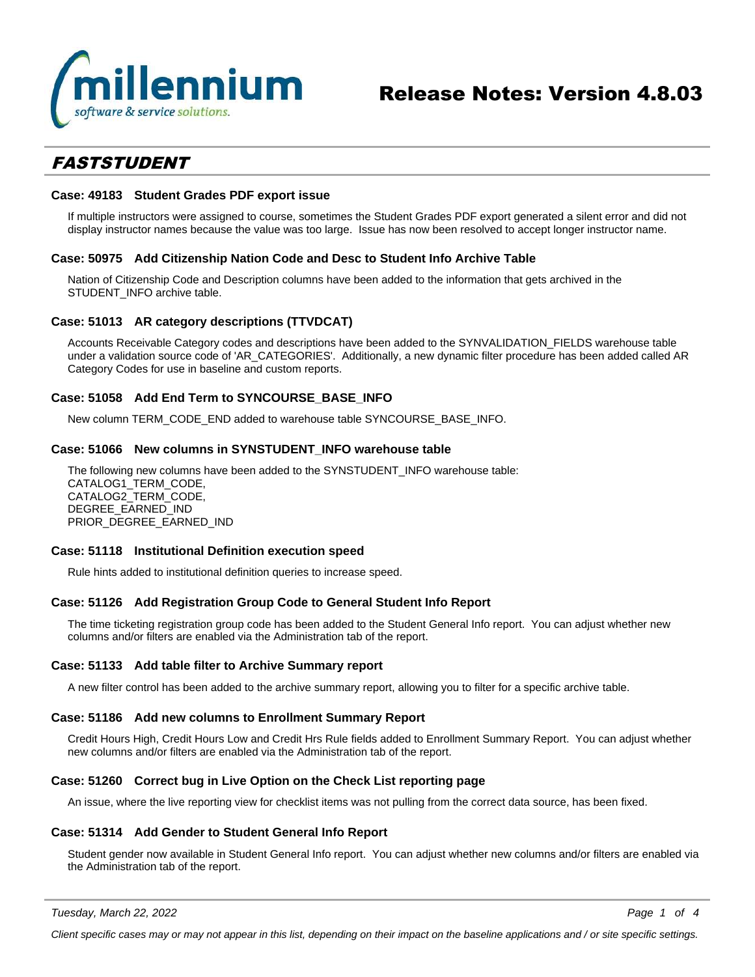

## *FASTSTUDENT*

#### **Case: 49183 Student Grades PDF export issue**

If multiple instructors were assigned to course, sometimes the Student Grades PDF export generated a silent error and did not display instructor names because the value was too large. Issue has now been resolved to accept longer instructor name.

#### **Case: 50975 Add Citizenship Nation Code and Desc to Student Info Archive Table**

Nation of Citizenship Code and Description columns have been added to the information that gets archived in the STUDENT\_INFO archive table.

#### **Case: 51013 AR category descriptions (TTVDCAT)**

Accounts Receivable Category codes and descriptions have been added to the SYNVALIDATION\_FIELDS warehouse table under a validation source code of 'AR\_CATEGORIES'. Additionally, a new dynamic filter procedure has been added called AR Category Codes for use in baseline and custom reports.

#### **Case: 51058 Add End Term to SYNCOURSE\_BASE\_INFO**

New column TERM\_CODE\_END added to warehouse table SYNCOURSE\_BASE\_INFO.

#### **Case: 51066 New columns in SYNSTUDENT\_INFO warehouse table**

The following new columns have been added to the SYNSTUDENT\_INFO warehouse table: CATALOG1\_TERM\_CODE, CATALOG2\_TERM\_CODE, DEGREE\_EARNED\_IND PRIOR\_DEGREE\_EARNED\_IND

#### **Case: 51118 Institutional Definition execution speed**

Rule hints added to institutional definition queries to increase speed.

#### **Case: 51126 Add Registration Group Code to General Student Info Report**

The time ticketing registration group code has been added to the Student General Info report. You can adjust whether new columns and/or filters are enabled via the Administration tab of the report.

#### **Case: 51133 Add table filter to Archive Summary report**

A new filter control has been added to the archive summary report, allowing you to filter for a specific archive table.

#### **Case: 51186 Add new columns to Enrollment Summary Report**

Credit Hours High, Credit Hours Low and Credit Hrs Rule fields added to Enrollment Summary Report. You can adjust whether new columns and/or filters are enabled via the Administration tab of the report.

#### **Case: 51260 Correct bug in Live Option on the Check List reporting page**

An issue, where the live reporting view for checklist items was not pulling from the correct data source, has been fixed.

#### **Case: 51314 Add Gender to Student General Info Report**

Student gender now available in Student General Info report. You can adjust whether new columns and/or filters are enabled via the Administration tab of the report.

*Tuesday, March 22, 2022*

*Page 1 of 4*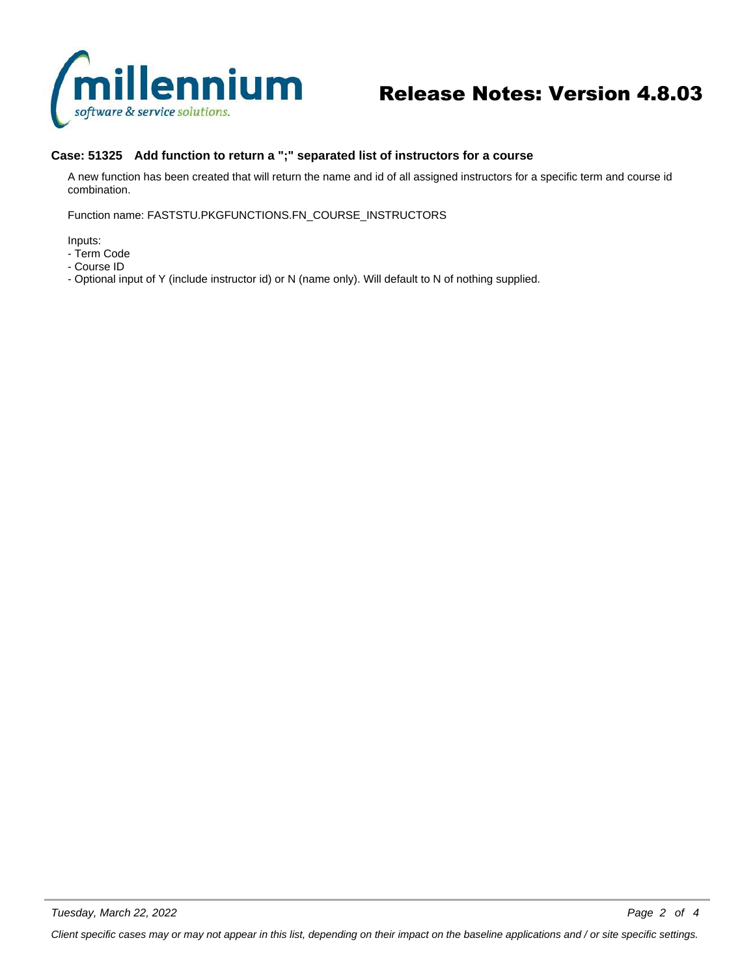

# Release Notes: Version 4.8.03

### **Case: 51325 Add function to return a ";" separated list of instructors for a course**

A new function has been created that will return the name and id of all assigned instructors for a specific term and course id combination.

Function name: FASTSTU.PKGFUNCTIONS.FN\_COURSE\_INSTRUCTORS

Inputs:

- Term Code
- Course ID
- Optional input of Y (include instructor id) or N (name only). Will default to N of nothing supplied.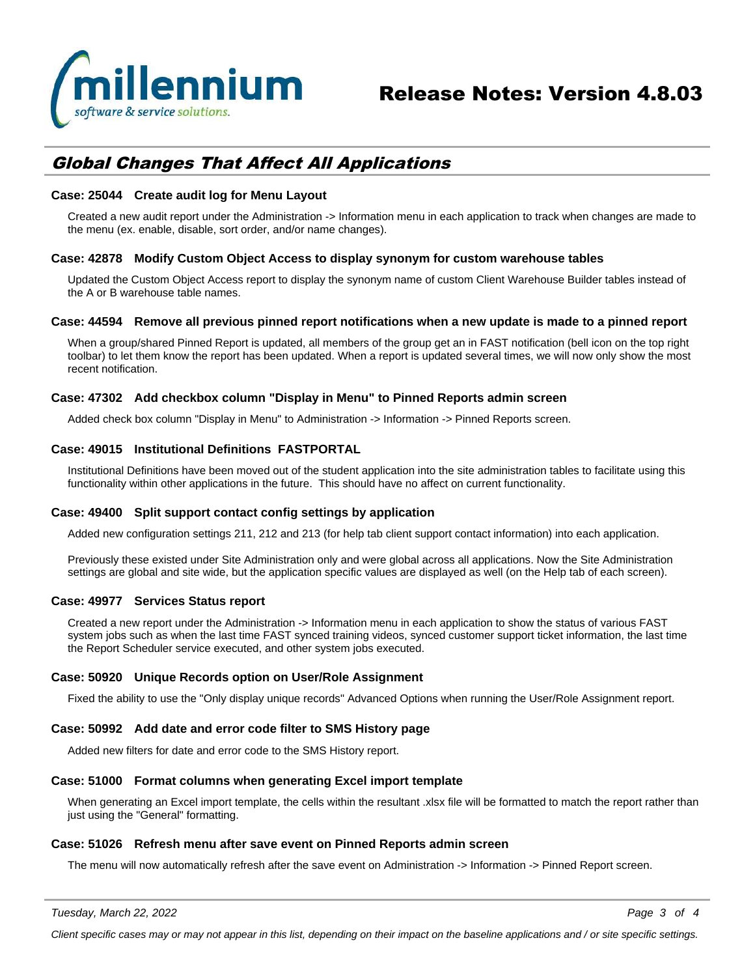

## *Global Changes That Affect All Applications*

#### **Case: 25044 Create audit log for Menu Layout**

Created a new audit report under the Administration -> Information menu in each application to track when changes are made to the menu (ex. enable, disable, sort order, and/or name changes).

#### **Case: 42878 Modify Custom Object Access to display synonym for custom warehouse tables**

Updated the Custom Object Access report to display the synonym name of custom Client Warehouse Builder tables instead of the A or B warehouse table names.

#### **Case: 44594 Remove all previous pinned report notifications when a new update is made to a pinned report**

When a group/shared Pinned Report is updated, all members of the group get an in FAST notification (bell icon on the top right toolbar) to let them know the report has been updated. When a report is updated several times, we will now only show the most recent notification.

#### **Case: 47302 Add checkbox column "Display in Menu" to Pinned Reports admin screen**

Added check box column "Display in Menu" to Administration -> Information -> Pinned Reports screen.

#### **Case: 49015 Institutional Definitions FASTPORTAL**

Institutional Definitions have been moved out of the student application into the site administration tables to facilitate using this functionality within other applications in the future. This should have no affect on current functionality.

#### **Case: 49400 Split support contact config settings by application**

Added new configuration settings 211, 212 and 213 (for help tab client support contact information) into each application.

Previously these existed under Site Administration only and were global across all applications. Now the Site Administration settings are global and site wide, but the application specific values are displayed as well (on the Help tab of each screen).

#### **Case: 49977 Services Status report**

Created a new report under the Administration -> Information menu in each application to show the status of various FAST system jobs such as when the last time FAST synced training videos, synced customer support ticket information, the last time the Report Scheduler service executed, and other system jobs executed.

#### **Case: 50920 Unique Records option on User/Role Assignment**

Fixed the ability to use the "Only display unique records" Advanced Options when running the User/Role Assignment report.

#### **Case: 50992 Add date and error code filter to SMS History page**

Added new filters for date and error code to the SMS History report.

#### **Case: 51000 Format columns when generating Excel import template**

When generating an Excel import template, the cells within the resultant .xlsx file will be formatted to match the report rather than just using the "General" formatting.

#### **Case: 51026 Refresh menu after save event on Pinned Reports admin screen**

The menu will now automatically refresh after the save event on Administration -> Information -> Pinned Report screen.

*Client specific cases may or may not appear in this list, depending on their impact on the baseline applications and / or site specific settings.*